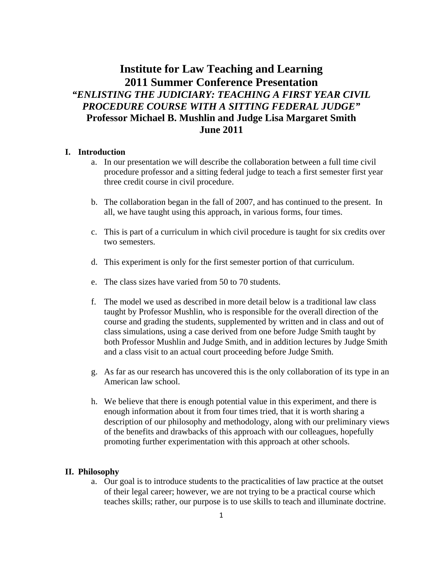# **Institute for Law Teaching and Learning 2011 Summer Conference Presentation**  *"ENLISTING THE JUDICIARY: TEACHING A FIRST YEAR CIVIL PROCEDURE COURSE WITH A SITTING FEDERAL JUDGE"*  **Professor Michael B. Mushlin and Judge Lisa Margaret Smith June 2011**

## **I. Introduction**

- a. In our presentation we will describe the collaboration between a full time civil procedure professor and a sitting federal judge to teach a first semester first year three credit course in civil procedure.
- b. The collaboration began in the fall of 2007, and has continued to the present. In all, we have taught using this approach, in various forms, four times.
- c. This is part of a curriculum in which civil procedure is taught for six credits over two semesters.
- d. This experiment is only for the first semester portion of that curriculum.
- e. The class sizes have varied from 50 to 70 students.
- f. The model we used as described in more detail below is a traditional law class taught by Professor Mushlin, who is responsible for the overall direction of the course and grading the students, supplemented by written and in class and out of class simulations, using a case derived from one before Judge Smith taught by both Professor Mushlin and Judge Smith, and in addition lectures by Judge Smith and a class visit to an actual court proceeding before Judge Smith.
- g. As far as our research has uncovered this is the only collaboration of its type in an American law school.
- h. We believe that there is enough potential value in this experiment, and there is enough information about it from four times tried, that it is worth sharing a description of our philosophy and methodology, along with our preliminary views of the benefits and drawbacks of this approach with our colleagues, hopefully promoting further experimentation with this approach at other schools.

#### **II. Philosophy**

a. Our goal is to introduce students to the practicalities of law practice at the outset of their legal career; however, we are not trying to be a practical course which teaches skills; rather, our purpose is to use skills to teach and illuminate doctrine.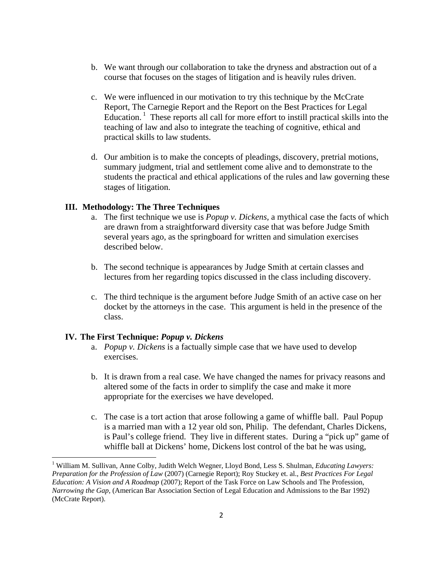- b. We want through our collaboration to take the dryness and abstraction out of a course that focuses on the stages of litigation and is heavily rules driven.
- c. We were influenced in our motivation to try this technique by the McCrate Report, The Carnegie Report and the Report on the Best Practices for Legal Education.<sup>1</sup> These reports all call for more effort to instill practical skills into the teaching of law and also to integrate the teaching of cognitive, ethical and practical skills to law students.
- d. Our ambition is to make the concepts of pleadings, discovery, pretrial motions, summary judgment, trial and settlement come alive and to demonstrate to the students the practical and ethical applications of the rules and law governing these stages of litigation.

### **III. Methodology: The Three Techniques**

- a. The first technique we use is *Popup v. Dickens,* a mythical case the facts of which are drawn from a straightforward diversity case that was before Judge Smith several years ago, as the springboard for written and simulation exercises described below.
- b. The second technique is appearances by Judge Smith at certain classes and lectures from her regarding topics discussed in the class including discovery.
- c. The third technique is the argument before Judge Smith of an active case on her docket by the attorneys in the case. This argument is held in the presence of the class.

#### **IV. The First Technique:** *Popup v. Dickens*

- a. *Popup v. Dickens* is a factually simple case that we have used to develop exercises.
- b. It is drawn from a real case. We have changed the names for privacy reasons and altered some of the facts in order to simplify the case and make it more appropriate for the exercises we have developed.
- c. The case is a tort action that arose following a game of whiffle ball. Paul Popup is a married man with a 12 year old son, Philip. The defendant, Charles Dickens, is Paul's college friend. They live in different states. During a "pick up" game of whiffle ball at Dickens' home, Dickens lost control of the bat he was using,

<sup>&</sup>lt;sup>1</sup> William M. Sullivan, Anne Colby, Judith Welch Wegner, Lloyd Bond, Less S. Shulman, *Educating Lawyers: Preparation for the Profession of Law* (2007) (Carnegie Report); Roy Stuckey et. al., *Best Practices For Legal Education: A Vision and A Roadmap* (2007); Report of the Task Force on Law Schools and The Profession, *Narrowing the Gap,* (American Bar Association Section of Legal Education and Admissions to the Bar 1992) (McCrate Report).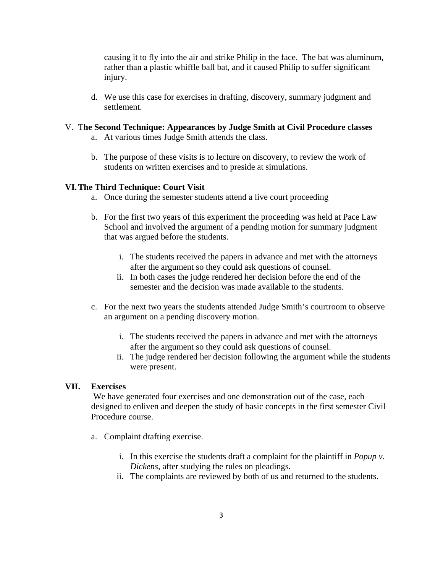causing it to fly into the air and strike Philip in the face. The bat was aluminum, rather than a plastic whiffle ball bat, and it caused Philip to suffer significant injury.

d. We use this case for exercises in drafting, discovery, summary judgment and settlement.

# V. T**he Second Technique: Appearances by Judge Smith at Civil Procedure classes**

- a. At various times Judge Smith attends the class.
- b. The purpose of these visits is to lecture on discovery, to review the work of students on written exercises and to preside at simulations.

### **VI.The Third Technique: Court Visit**

- a. Once during the semester students attend a live court proceeding
- b. For the first two years of this experiment the proceeding was held at Pace Law School and involved the argument of a pending motion for summary judgment that was argued before the students.
	- i. The students received the papers in advance and met with the attorneys after the argument so they could ask questions of counsel.
	- ii. In both cases the judge rendered her decision before the end of the semester and the decision was made available to the students.
- c. For the next two years the students attended Judge Smith's courtroom to observe an argument on a pending discovery motion.
	- i. The students received the papers in advance and met with the attorneys after the argument so they could ask questions of counsel.
	- ii. The judge rendered her decision following the argument while the students were present.

## **VII. Exercises**

 We have generated four exercises and one demonstration out of the case, each designed to enliven and deepen the study of basic concepts in the first semester Civil Procedure course.

- a. Complaint drafting exercise.
	- i. In this exercise the students draft a complaint for the plaintiff in *Popup v. Dickens*, after studying the rules on pleadings.
	- ii. The complaints are reviewed by both of us and returned to the students.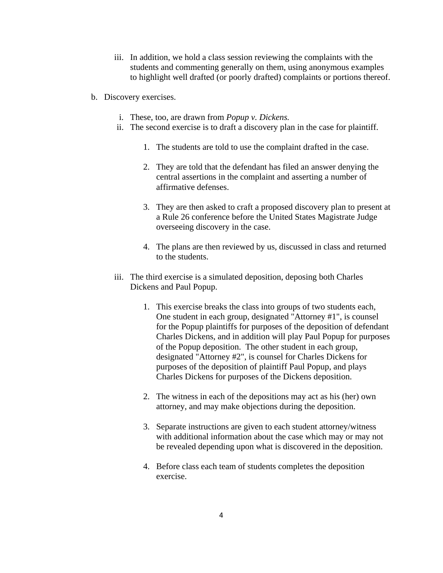- iii. In addition, we hold a class session reviewing the complaints with the students and commenting generally on them, using anonymous examples to highlight well drafted (or poorly drafted) complaints or portions thereof.
- b. Discovery exercises.
	- i. These, too, are drawn from *Popup v. Dickens.*
	- ii. The second exercise is to draft a discovery plan in the case for plaintiff.
		- 1. The students are told to use the complaint drafted in the case.
		- 2. They are told that the defendant has filed an answer denying the central assertions in the complaint and asserting a number of affirmative defenses.
		- 3. They are then asked to craft a proposed discovery plan to present at a Rule 26 conference before the United States Magistrate Judge overseeing discovery in the case.
		- 4. The plans are then reviewed by us, discussed in class and returned to the students.
	- iii. The third exercise is a simulated deposition, deposing both Charles Dickens and Paul Popup.
		- 1. This exercise breaks the class into groups of two students each, One student in each group, designated "Attorney #1", is counsel for the Popup plaintiffs for purposes of the deposition of defendant Charles Dickens, and in addition will play Paul Popup for purposes of the Popup deposition. The other student in each group, designated "Attorney #2", is counsel for Charles Dickens for purposes of the deposition of plaintiff Paul Popup, and plays Charles Dickens for purposes of the Dickens deposition.
		- 2. The witness in each of the depositions may act as his (her) own attorney, and may make objections during the deposition.
		- 3. Separate instructions are given to each student attorney/witness with additional information about the case which may or may not be revealed depending upon what is discovered in the deposition.
		- 4. Before class each team of students completes the deposition exercise.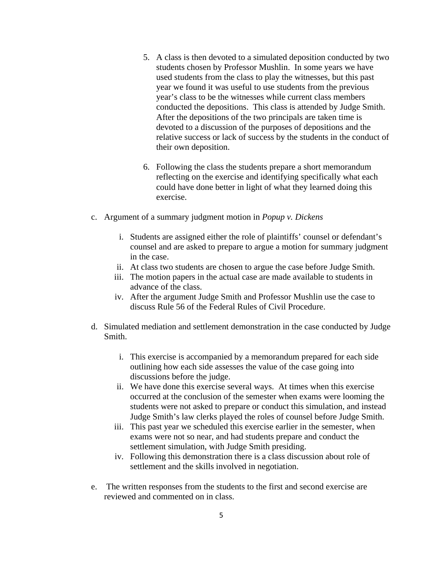- 5. A class is then devoted to a simulated deposition conducted by two students chosen by Professor Mushlin. In some years we have used students from the class to play the witnesses, but this past year we found it was useful to use students from the previous year's class to be the witnesses while current class members conducted the depositions. This class is attended by Judge Smith. After the depositions of the two principals are taken time is devoted to a discussion of the purposes of depositions and the relative success or lack of success by the students in the conduct of their own deposition.
- 6. Following the class the students prepare a short memorandum reflecting on the exercise and identifying specifically what each could have done better in light of what they learned doing this exercise.
- c. Argument of a summary judgment motion in *Popup v. Dickens*
	- i. Students are assigned either the role of plaintiffs' counsel or defendant's counsel and are asked to prepare to argue a motion for summary judgment in the case.
	- ii. At class two students are chosen to argue the case before Judge Smith.
	- iii. The motion papers in the actual case are made available to students in advance of the class.
	- iv. After the argument Judge Smith and Professor Mushlin use the case to discuss Rule 56 of the Federal Rules of Civil Procedure.
- d. Simulated mediation and settlement demonstration in the case conducted by Judge Smith.
	- i. This exercise is accompanied by a memorandum prepared for each side outlining how each side assesses the value of the case going into discussions before the judge.
	- ii. We have done this exercise several ways. At times when this exercise occurred at the conclusion of the semester when exams were looming the students were not asked to prepare or conduct this simulation, and instead Judge Smith's law clerks played the roles of counsel before Judge Smith.
	- iii. This past year we scheduled this exercise earlier in the semester, when exams were not so near, and had students prepare and conduct the settlement simulation, with Judge Smith presiding.
	- iv. Following this demonstration there is a class discussion about role of settlement and the skills involved in negotiation.
- e. The written responses from the students to the first and second exercise are reviewed and commented on in class.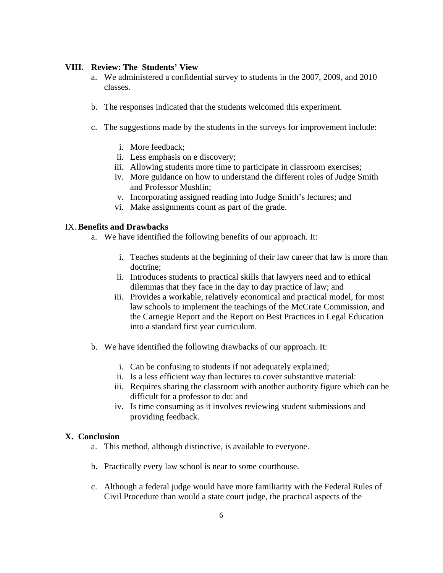#### **VIII. Review: The Students' View**

- a. We administered a confidential survey to students in the 2007, 2009, and 2010 classes.
- b. The responses indicated that the students welcomed this experiment.
- c. The suggestions made by the students in the surveys for improvement include:
	- i. More feedback;
	- ii. Less emphasis on e discovery;
	- iii. Allowing students more time to participate in classroom exercises;
	- iv. More guidance on how to understand the different roles of Judge Smith and Professor Mushlin;
	- v. Incorporating assigned reading into Judge Smith's lectures; and
	- vi. Make assignments count as part of the grade.

#### IX. **Benefits and Drawbacks**

- a. We have identified the following benefits of our approach. It:
	- i. Teaches students at the beginning of their law career that law is more than doctrine;
	- ii. Introduces students to practical skills that lawyers need and to ethical dilemmas that they face in the day to day practice of law; and
	- iii. Provides a workable, relatively economical and practical model, for most law schools to implement the teachings of the McCrate Commission, and the Carnegie Report and the Report on Best Practices in Legal Education into a standard first year curriculum.
- b. We have identified the following drawbacks of our approach. It:
	- i. Can be confusing to students if not adequately explained;
	- ii. Is a less efficient way than lectures to cover substantive material:
	- iii. Requires sharing the classroom with another authority figure which can be difficult for a professor to do: and
	- iv. Is time consuming as it involves reviewing student submissions and providing feedback.

#### **X. Conclusion**

- a. This method, although distinctive, is available to everyone.
- b. Practically every law school is near to some courthouse.
- c. Although a federal judge would have more familiarity with the Federal Rules of Civil Procedure than would a state court judge, the practical aspects of the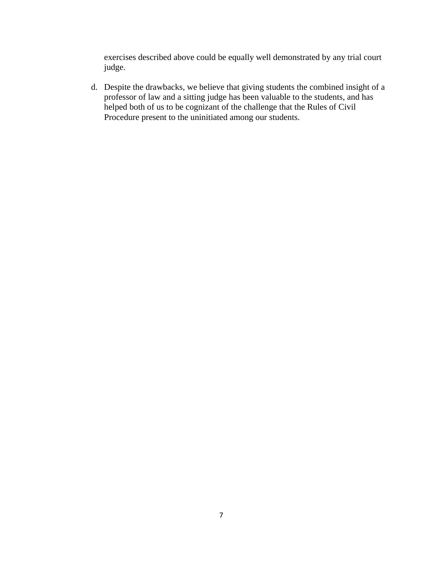exercises described above could be equally well demonstrated by any trial court judge.

d. Despite the drawbacks, we believe that giving students the combined insight of a professor of law and a sitting judge has been valuable to the students, and has helped both of us to be cognizant of the challenge that the Rules of Civil Procedure present to the uninitiated among our students.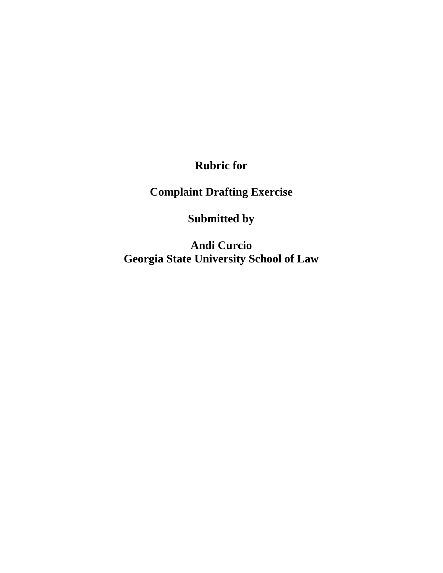**Rubric for**

**Complaint Drafting Exercise**

**Submitted by**

**Andi Curcio Georgia State University School of Law**